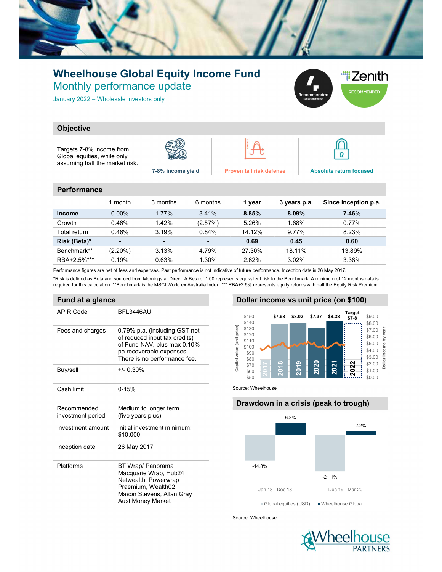

## Wheelhouse Global Equity Income Fund Monthly performance update

January 2022 – Wholesale investors only



### **Objective**

Targets 7-8% income from Global equities, while only assuming half the market risk.







7-8% income yield Proven tail risk defense Absolute return focused

#### **Performance**

|               | 1 month    | 3 months       | 6 months | 1 year | 3 years p.a. | Since inception p.a. |
|---------------|------------|----------------|----------|--------|--------------|----------------------|
| <b>Income</b> | $0.00\%$   | 1.77%          | 3.41%    | 8.85%  | $8.09\%$     | 7.46%                |
| Growth        | 0.46%      | 1.42%          | (2.57%)  | 5.26%  | 1.68%        | 0.77%                |
| Total return  | 0.46%      | 3.19%          | 0.84%    | 14.12% | 9.77%        | 8.23%                |
| Risk (Beta)*  | -          | $\blacksquare$ |          | 0.69   | 0.45         | 0.60                 |
| Benchmark**   | $(2.20\%)$ | 3.13%          | 4.79%    | 27.30% | 18.11%       | 13.89%               |
| RBA+2.5%***   | 0.19%      | 0.63%          | 1.30%    | 2.62%  | 3.02%        | 3.38%                |

Performance figures are net of fees and expenses. Past performance is not indicative of future performance. Inception date is 26 May 2017.

\*Risk is defined as Beta and sourced from Morningstar Direct. A Beta of 1.00 represents equivalent risk to the Benchmark. A minimum of 12 months data is required for this calculation. \*\*Benchmark is the MSCI World ex Australia Index. \*\*\* RBA+2.5% represents equity returns with half the Equity Risk Premium.

### Fund at a glance

| APIR Code                        | <b>BFI 3446AU</b>                                                                                                                                         |  |  |  |  |  |
|----------------------------------|-----------------------------------------------------------------------------------------------------------------------------------------------------------|--|--|--|--|--|
| Fees and charges                 | 0.79% p.a. (including GST net<br>of reduced input tax credits)<br>of Fund NAV, plus max 0.10%<br>pa recoverable expenses.<br>There is no performance fee. |  |  |  |  |  |
| Buy/sell                         | $+/- 0.30%$                                                                                                                                               |  |  |  |  |  |
| Cash limit                       | $0 - 15%$                                                                                                                                                 |  |  |  |  |  |
| Recommended<br>investment period | Medium to longer term<br>(five years plus)                                                                                                                |  |  |  |  |  |
| Investment amount                | Initial investment minimum:<br>\$10,000                                                                                                                   |  |  |  |  |  |
| Inception date                   | 26 May 2017                                                                                                                                               |  |  |  |  |  |
| Platforms                        | BT Wrap/ Panorama<br>Macquarie Wrap, Hub24<br>Netwealth, Powerwrap<br>Praemium, Wealth02<br>Mason Stevens, Allan Gray<br><b>Aust Money Market</b>         |  |  |  |  |  |

### Dollar income vs unit price (on \$100)



Source: Wheelhouse

# Drawdown in a crisis (peak to trough) -14.8% -21.1% 6.8% 2.2% 16 - Dec 18 - Mar 20<br>
18 - Man 18 - Dec 18<br>
18 - Man 18 - Dec 18<br>
18 - Man 18 - Dec 18<br>
18 - Man 18 - Dec 18<br>
18 - Man 18 - Dec 18<br>
18 - Man 18 - Dec 18<br>
19 - Man 20<br>
19 - Man 20<br>
19 - Man 20<br>
19 - Man 20<br>
19 - Man 20<br>
19 Global equities (USD) Wheelhouse Global

Source: Wheelhouse